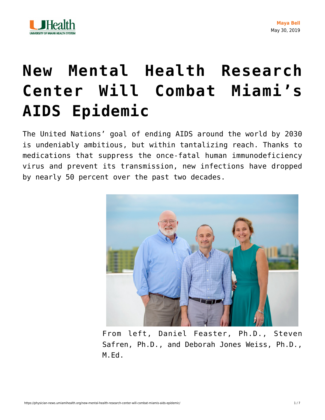

## **[New Mental Health Research](https://physician-news.umiamihealth.org/new-mental-health-research-center-will-combat-miamis-aids-epidemic/) [Center Will Combat Miami's](https://physician-news.umiamihealth.org/new-mental-health-research-center-will-combat-miamis-aids-epidemic/) [AIDS Epidemic](https://physician-news.umiamihealth.org/new-mental-health-research-center-will-combat-miamis-aids-epidemic/)**

The United Nations' goal of ending AIDS around the world by 2030 is undeniably ambitious, but within tantalizing reach. Thanks to medications that suppress the once-fatal human immunodeficiency virus and prevent its transmission, new infections have dropped by nearly 50 percent over the past two decades.



From left, Daniel Feaster, Ph.D., Steven Safren, Ph.D., and Deborah Jones Weiss, Ph.D., M.Ed.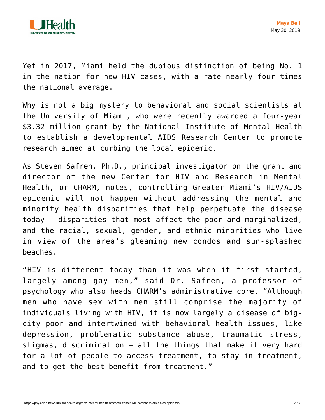

Yet in 2017, Miami held the dubious distinction of being No. 1 in the nation for new HIV cases, with a rate nearly four times the national average.

Why is not a big mystery to behavioral and social scientists at the University of Miami, who were recently awarded a four-year \$3.32 million grant by the National Institute of Mental Health to establish a developmental AIDS Research Center to promote research aimed at curbing the local epidemic.

As Steven Safren, Ph.D., principal investigator on the grant and director of the new Center for HIV and Research in Mental Health, or CHARM, notes, controlling Greater Miami's HIV/AIDS epidemic will not happen without addressing the mental and minority health disparities that help perpetuate the disease today — disparities that most affect the poor and marginalized, and the racial, sexual, gender, and ethnic minorities who live in view of the area's gleaming new condos and sun-splashed beaches.

"HIV is different today than it was when it first started, largely among gay men," said Dr. Safren, a professor of psychology who also heads CHARM's administrative core. "Although men who have sex with men still comprise the majority of individuals living with HIV, it is now largely a disease of bigcity poor and intertwined with behavioral health issues, like depression, problematic substance abuse, traumatic stress, stigmas, discrimination — all the things that make it very hard for a lot of people to access treatment, to stay in treatment, and to get the best benefit from treatment."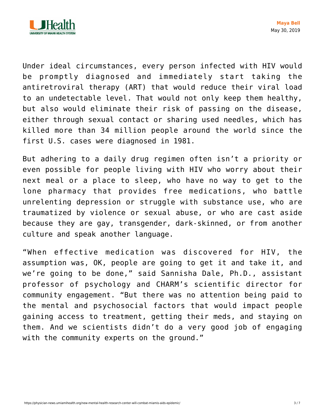

Under ideal circumstances, every person infected with HIV would be promptly diagnosed and immediately start taking the antiretroviral therapy (ART) that would reduce their viral load to an undetectable level. That would not only keep them healthy, but also would eliminate their risk of passing on the disease, either through sexual contact or sharing used needles, which has killed more than 34 million people around the world since the first U.S. cases were diagnosed in 1981.

But adhering to a daily drug regimen often isn't a priority or even possible for people living with HIV who worry about their next meal or a place to sleep, who have no way to get to the lone pharmacy that provides free medications, who battle unrelenting depression or struggle with substance use, who are traumatized by violence or sexual abuse, or who are cast aside because they are gay, transgender, dark-skinned, or from another culture and speak another language.

"When effective medication was discovered for HIV, the assumption was, OK, people are going to get it and take it, and we're going to be done," said Sannisha Dale, Ph.D., assistant professor of psychology and CHARM's scientific director for community engagement. "But there was no attention being paid to the mental and psychosocial factors that would impact people gaining access to treatment, getting their meds, and staying on them. And we scientists didn't do a very good job of engaging with the community experts on the ground."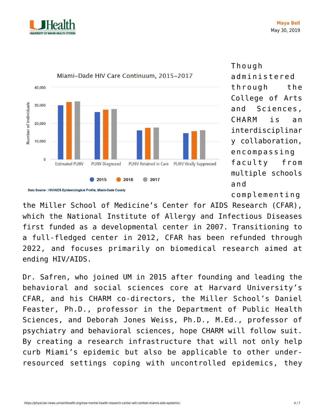



Though administered through the College of Arts and Sciences, CHARM is an interdisciplinar y collaboration, encompassing faculty from multiple schools and

complementing

the Miller School of Medicine's Center for AIDS Research (CFAR), which the National Institute of Allergy and Infectious Diseases first funded as a developmental center in 2007. Transitioning to a full-fledged center in 2012, CFAR has been refunded through 2022, and focuses primarily on biomedical research aimed at ending HIV/AIDS.

Dr. Safren, who joined UM in 2015 after founding and leading the behavioral and social sciences core at Harvard University's CFAR, and his CHARM co-directors, the Miller School's Daniel Feaster, Ph.D., professor in the Department of Public Health Sciences, and Deborah Jones Weiss, Ph.D., M.Ed., professor of psychiatry and behavioral sciences, hope CHARM will follow suit. By creating a research infrastructure that will not only help curb Miami's epidemic but also be applicable to other underresourced settings coping with uncontrolled epidemics, they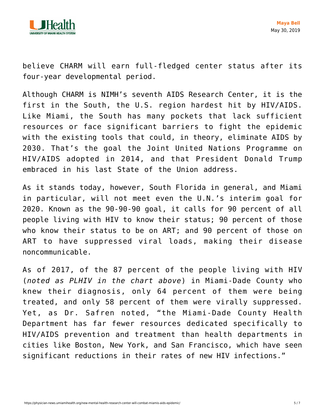

believe CHARM will earn full-fledged center status after its four-year developmental period.

Although CHARM is NIMH's seventh AIDS Research Center, it is the first in the South, the U.S. region hardest hit by HIV/AIDS. Like Miami, the South has many pockets that lack sufficient resources or face significant barriers to fight the epidemic with the existing tools that could, in theory, eliminate AIDS by 2030. That's the goal the Joint United Nations Programme on HIV/AIDS adopted in 2014, and that President Donald Trump embraced in his last State of the Union address.

As it stands today, however, South Florida in general, and Miami in particular, will not meet even the U.N.'s interim goal for 2020. Known as the 90-90-90 goal, it calls for 90 percent of all people living with HIV to know their status; 90 percent of those who know their status to be on ART; and 90 percent of those on ART to have suppressed viral loads, making their disease noncommunicable.

As of 2017, of the 87 percent of the people living with HIV (*noted as PLHIV in the chart above*) in Miami-Dade County who knew their diagnosis, only 64 percent of them were being treated, and only 58 percent of them were virally suppressed. Yet, as Dr. Safren noted, "the Miami-Dade County Health Department has far fewer resources dedicated specifically to HIV/AIDS prevention and treatment than health departments in cities like Boston, New York, and San Francisco, which have seen significant reductions in their rates of new HIV infections."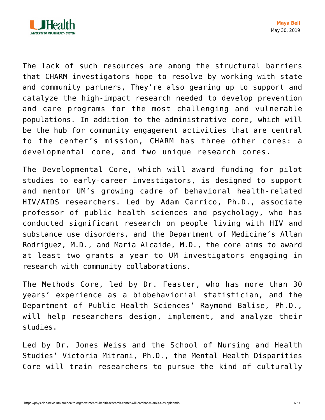

The lack of such resources are among the structural barriers that CHARM investigators hope to resolve by working with state and community partners, They're also gearing up to support and catalyze the high-impact research needed to develop prevention and care programs for the most challenging and vulnerable populations. In addition to the administrative core, which will be the hub for community engagement activities that are central to the center's mission, CHARM has three other cores: a developmental core, and two unique research cores.

The Developmental Core, which will award funding for pilot studies to early-career investigators, is designed to support and mentor UM's growing cadre of behavioral health-related HIV/AIDS researchers. Led by Adam Carrico, Ph.D., associate professor of public health sciences and psychology, who has conducted significant research on people living with HIV and substance use disorders, and the Department of Medicine's Allan Rodriguez, M.D., and Maria Alcaide, M.D., the core aims to award at least two grants a year to UM investigators engaging in research with community collaborations.

The Methods Core, led by Dr. Feaster, who has more than 30 years' experience as a biobehaviorial statistician, and the Department of Public Health Sciences' Raymond Balise, Ph.D., will help researchers design, implement, and analyze their studies.

Led by Dr. Jones Weiss and the School of Nursing and Health Studies' Victoria Mitrani, Ph.D., the Mental Health Disparities Core will train researchers to pursue the kind of culturally